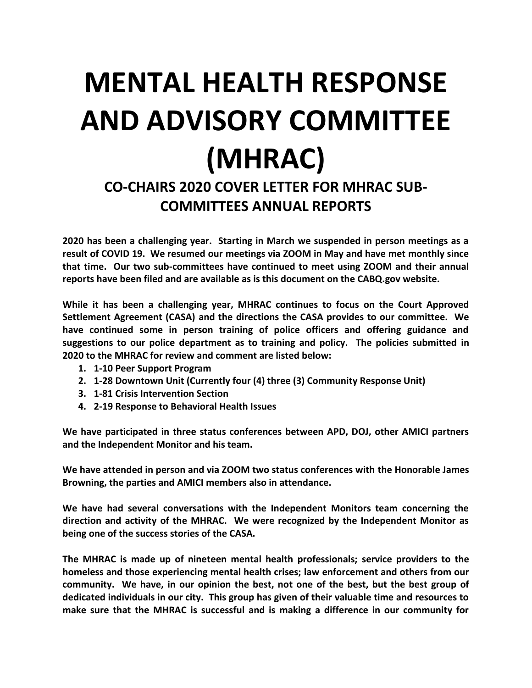## **MENTAL HEALTH RESPONSE AND ADVISORY COMMITTEE (MHRAC)**

## **CO-CHAIRS 2020 COVER LETTER FOR MHRAC SUB-COMMITTEES ANNUAL REPORTS**

**2020 has been a challenging year. Starting in March we suspended in person meetings as a result of COVID 19. We resumed our meetings via ZOOM in May and have met monthly since that time. Our two sub-committees have continued to meet using ZOOM and their annual reports have been filed and are available as is this document on the CABQ.gov website.**

**While it has been a challenging year, MHRAC continues to focus on the Court Approved Settlement Agreement (CASA) and the directions the CASA provides to our committee. We have continued some in person training of police officers and offering guidance and suggestions to our police department as to training and policy. The policies submitted in 2020 to the MHRAC for review and comment are listed below:**

- **1. 1-10 Peer Support Program**
- **2. 1-28 Downtown Unit (Currently four (4) three (3) Community Response Unit)**
- **3. 1-81 Crisis Intervention Section**
- **4. 2-19 Response to Behavioral Health Issues**

**We have participated in three status conferences between APD, DOJ, other AMICI partners and the Independent Monitor and his team.** 

**We have attended in person and via ZOOM two status conferences with the Honorable James Browning, the parties and AMICI members also in attendance.** 

**We have had several conversations with the Independent Monitors team concerning the direction and activity of the MHRAC. We were recognized by the Independent Monitor as being one of the success stories of the CASA.** 

**The MHRAC is made up of nineteen mental health professionals; service providers to the homeless and those experiencing mental health crises; law enforcement and others from our community. We have, in our opinion the best, not one of the best, but the best group of dedicated individuals in our city. This group has given of their valuable time and resources to make sure that the MHRAC is successful and is making a difference in our community for**